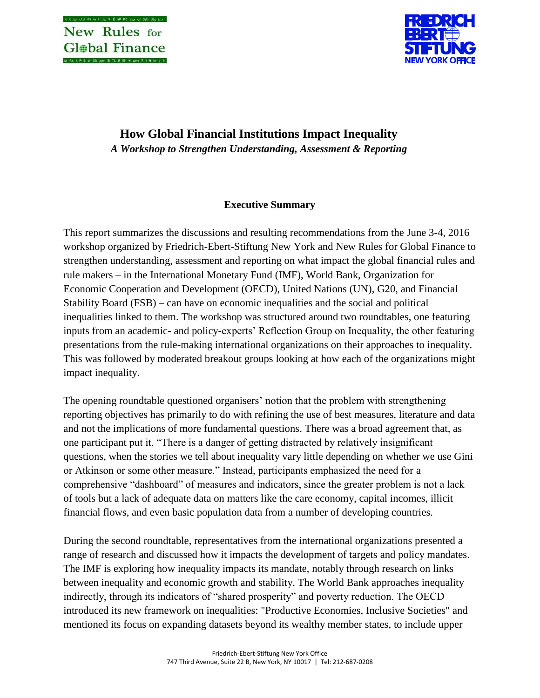

# **How Global Financial Institutions Impact Inequality** *A Workshop to Strengthen Understanding, Assessment & Reporting*

# **Executive Summary**

This report summarizes the discussions and resulting recommendations from the June 3-4, 2016 workshop organized by Friedrich-Ebert-Stiftung New York and New Rules for Global Finance to strengthen understanding, assessment and reporting on what impact the global financial rules and rule makers – in the International Monetary Fund (IMF), World Bank, Organization for Economic Cooperation and Development (OECD), United Nations (UN), G20, and Financial Stability Board (FSB) – can have on economic inequalities and the social and political inequalities linked to them. The workshop was structured around two roundtables, one featuring inputs from an academic- and policy-experts' Reflection Group on Inequality, the other featuring presentations from the rule-making international organizations on their approaches to inequality. This was followed by moderated breakout groups looking at how each of the organizations might impact inequality.

The opening roundtable questioned organisers' notion that the problem with strengthening reporting objectives has primarily to do with refining the use of best measures, literature and data and not the implications of more fundamental questions. There was a broad agreement that, as one participant put it, "There is a danger of getting distracted by relatively insignificant questions, when the stories we tell about inequality vary little depending on whether we use Gini or Atkinson or some other measure." Instead, participants emphasized the need for a comprehensive "dashboard" of measures and indicators, since the greater problem is not a lack of tools but a lack of adequate data on matters like the care economy, capital incomes, illicit financial flows, and even basic population data from a number of developing countries.

During the second roundtable, representatives from the international organizations presented a range of research and discussed how it impacts the development of targets and policy mandates. The IMF is exploring how inequality impacts its mandate, notably through research on links between inequality and economic growth and stability. The World Bank approaches inequality indirectly, through its indicators of "shared prosperity" and poverty reduction. The OECD introduced its new framework on inequalities: "Productive Economies, Inclusive Societies" and mentioned its focus on expanding datasets beyond its wealthy member states, to include upper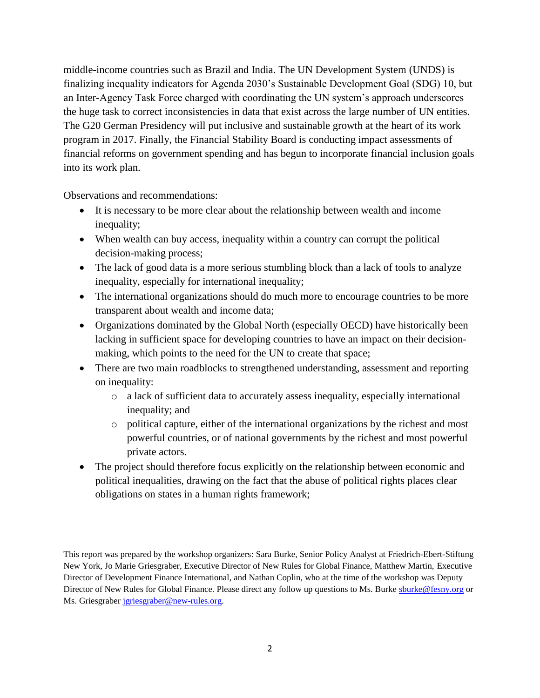middle-income countries such as Brazil and India. The UN Development System (UNDS) is finalizing inequality indicators for Agenda 2030's Sustainable Development Goal (SDG) 10, but an Inter-Agency Task Force charged with coordinating the UN system's approach underscores the huge task to correct inconsistencies in data that exist across the large number of UN entities. The G20 German Presidency will put inclusive and sustainable growth at the heart of its work program in 2017. Finally, the Financial Stability Board is conducting impact assessments of financial reforms on government spending and has begun to incorporate financial inclusion goals into its work plan.

Observations and recommendations:

- It is necessary to be more clear about the relationship between wealth and income inequality;
- When wealth can buy access, inequality within a country can corrupt the political decision-making process;
- The lack of good data is a more serious stumbling block than a lack of tools to analyze inequality, especially for international inequality;
- The international organizations should do much more to encourage countries to be more transparent about wealth and income data;
- Organizations dominated by the Global North (especially OECD) have historically been lacking in sufficient space for developing countries to have an impact on their decisionmaking, which points to the need for the UN to create that space;
- There are two main roadblocks to strengthened understanding, assessment and reporting on inequality:
	- o a lack of sufficient data to accurately assess inequality, especially international inequality; and
	- o political capture, either of the international organizations by the richest and most powerful countries, or of national governments by the richest and most powerful private actors.
- The project should therefore focus explicitly on the relationship between economic and political inequalities, drawing on the fact that the abuse of political rights places clear obligations on states in a human rights framework;

This report was prepared by the workshop organizers: Sara Burke, Senior Policy Analyst at Friedrich-Ebert-Stiftung New York, Jo Marie Griesgraber, Executive Director of New Rules for Global Finance, Matthew Martin, Executive Director of Development Finance International, and Nathan Coplin, who at the time of the workshop was Deputy Director of New Rules for Global Finance. Please direct any follow up questions to Ms. Burke [sburke@fesny.org](mailto:sburke@fesny.org) or Ms. Griesgraber [jgriesgraber@new-rules.org.](mailto:jgriesgraber@new-rules.org)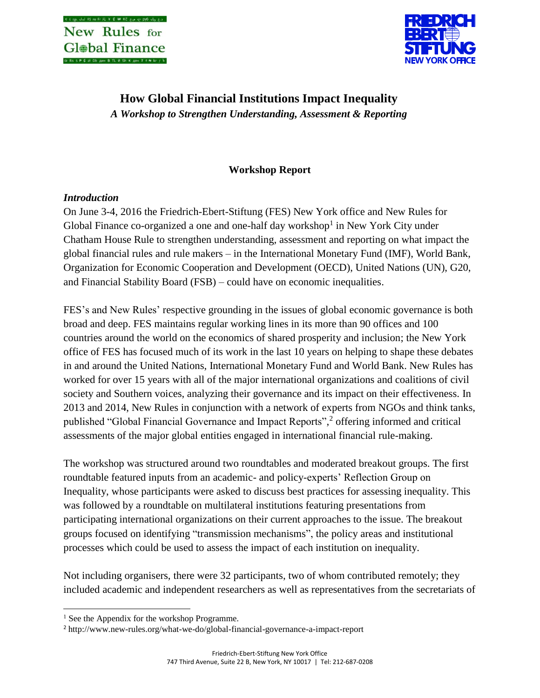

# **How Global Financial Institutions Impact Inequality** *A Workshop to Strengthen Understanding, Assessment & Reporting*

# **Workshop Report**

# *Introduction*

On June 3-4, 2016 the Friedrich-Ebert-Stiftung (FES) New York office and New Rules for Global Finance co-organized a one and one-half day workshop<sup>1</sup> in New York City under Chatham House Rule to strengthen understanding, assessment and reporting on what impact the global financial rules and rule makers – in the International Monetary Fund (IMF), World Bank, Organization for Economic Cooperation and Development (OECD), United Nations (UN), G20, and Financial Stability Board (FSB) – could have on economic inequalities.

FES's and New Rules' respective grounding in the issues of global economic governance is both broad and deep. FES maintains regular working lines in its more than 90 offices and 100 countries around the world on the economics of shared prosperity and inclusion; the New York office of FES has focused much of its work in the last 10 years on helping to shape these debates in and around the United Nations, International Monetary Fund and World Bank. New Rules has worked for over 15 years with all of the major international organizations and coalitions of civil society and Southern voices, analyzing their governance and its impact on their effectiveness. In 2013 and 2014, New Rules in conjunction with a network of experts from NGOs and think tanks, published "Global Financial Governance and Impact Reports",<sup>2</sup> offering informed and critical assessments of the major global entities engaged in international financial rule-making.

The workshop was structured around two roundtables and moderated breakout groups. The first roundtable featured inputs from an academic- and policy-experts' Reflection Group on Inequality, whose participants were asked to discuss best practices for assessing inequality. This was followed by a roundtable on multilateral institutions featuring presentations from participating international organizations on their current approaches to the issue. The breakout groups focused on identifying "transmission mechanisms", the policy areas and institutional processes which could be used to assess the impact of each institution on inequality.

Not including organisers, there were 32 participants, two of whom contributed remotely; they included academic and independent researchers as well as representatives from the secretariats of

l

<sup>&</sup>lt;sup>1</sup> See the Appendix for the workshop Programme.

<sup>2</sup> http://www.new-rules.org/what-we-do/global-financial-governance-a-impact-report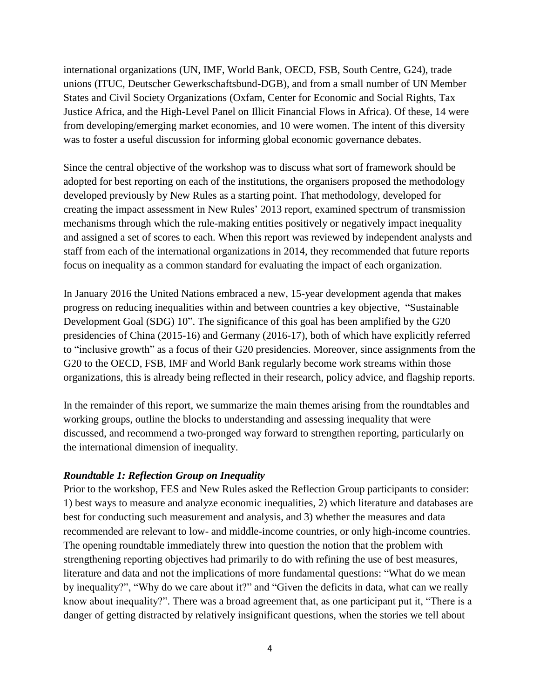international organizations (UN, IMF, World Bank, OECD, FSB, South Centre, G24), trade unions (ITUC, Deutscher Gewerkschaftsbund-DGB), and from a small number of UN Member States and Civil Society Organizations (Oxfam, Center for Economic and Social Rights, Tax Justice Africa, and the High-Level Panel on Illicit Financial Flows in Africa). Of these, 14 were from developing/emerging market economies, and 10 were women. The intent of this diversity was to foster a useful discussion for informing global economic governance debates.

Since the central objective of the workshop was to discuss what sort of framework should be adopted for best reporting on each of the institutions, the organisers proposed the methodology developed previously by New Rules as a starting point. That methodology, developed for creating the impact assessment in New Rules' 2013 report, examined spectrum of transmission mechanisms through which the rule-making entities positively or negatively impact inequality and assigned a set of scores to each. When this report was reviewed by independent analysts and staff from each of the international organizations in 2014, they recommended that future reports focus on inequality as a common standard for evaluating the impact of each organization.

In January 2016 the United Nations embraced a new, 15-year development agenda that makes progress on reducing inequalities within and between countries a key objective, "Sustainable Development Goal (SDG) 10". The significance of this goal has been amplified by the G20 presidencies of China (2015-16) and Germany (2016-17), both of which have explicitly referred to "inclusive growth" as a focus of their G20 presidencies. Moreover, since assignments from the G20 to the OECD, FSB, IMF and World Bank regularly become work streams within those organizations, this is already being reflected in their research, policy advice, and flagship reports.

In the remainder of this report, we summarize the main themes arising from the roundtables and working groups, outline the blocks to understanding and assessing inequality that were discussed, and recommend a two-pronged way forward to strengthen reporting, particularly on the international dimension of inequality.

### *Roundtable 1: Reflection Group on Inequality*

Prior to the workshop, FES and New Rules asked the Reflection Group participants to consider: 1) best ways to measure and analyze economic inequalities, 2) which literature and databases are best for conducting such measurement and analysis, and 3) whether the measures and data recommended are relevant to low- and middle-income countries, or only high-income countries. The opening roundtable immediately threw into question the notion that the problem with strengthening reporting objectives had primarily to do with refining the use of best measures, literature and data and not the implications of more fundamental questions: "What do we mean by inequality?", "Why do we care about it?" and "Given the deficits in data, what can we really know about inequality?". There was a broad agreement that, as one participant put it, "There is a danger of getting distracted by relatively insignificant questions, when the stories we tell about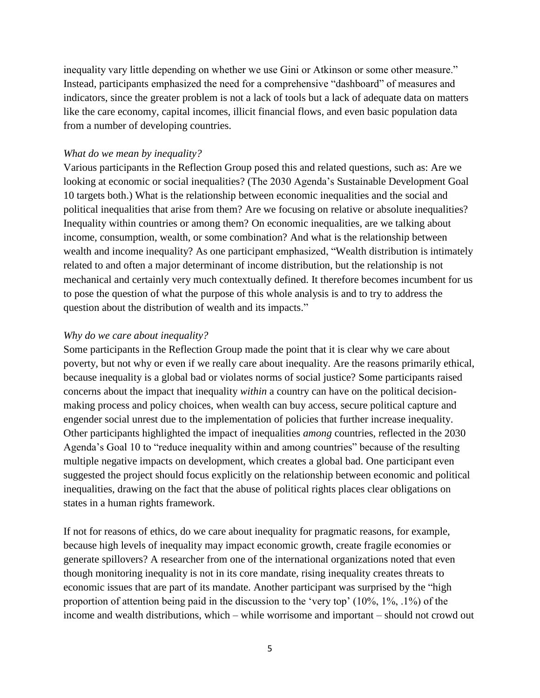inequality vary little depending on whether we use Gini or Atkinson or some other measure." Instead, participants emphasized the need for a comprehensive "dashboard" of measures and indicators, since the greater problem is not a lack of tools but a lack of adequate data on matters like the care economy, capital incomes, illicit financial flows, and even basic population data from a number of developing countries.

#### *What do we mean by inequality?*

Various participants in the Reflection Group posed this and related questions, such as: Are we looking at economic or social inequalities? (The 2030 Agenda's Sustainable Development Goal 10 targets both.) What is the relationship between economic inequalities and the social and political inequalities that arise from them? Are we focusing on relative or absolute inequalities? Inequality within countries or among them? On economic inequalities, are we talking about income, consumption, wealth, or some combination? And what is the relationship between wealth and income inequality? As one participant emphasized, "Wealth distribution is intimately related to and often a major determinant of income distribution, but the relationship is not mechanical and certainly very much contextually defined. It therefore becomes incumbent for us to pose the question of what the purpose of this whole analysis is and to try to address the question about the distribution of wealth and its impacts."

### *Why do we care about inequality?*

Some participants in the Reflection Group made the point that it is clear why we care about poverty, but not why or even if we really care about inequality. Are the reasons primarily ethical, because inequality is a global bad or violates norms of social justice? Some participants raised concerns about the impact that inequality *within* a country can have on the political decisionmaking process and policy choices, when wealth can buy access, secure political capture and engender social unrest due to the implementation of policies that further increase inequality. Other participants highlighted the impact of inequalities *among* countries, reflected in the 2030 Agenda's Goal 10 to "reduce inequality within and among countries" because of the resulting multiple negative impacts on development, which creates a global bad. One participant even suggested the project should focus explicitly on the relationship between economic and political inequalities, drawing on the fact that the abuse of political rights places clear obligations on states in a human rights framework.

If not for reasons of ethics, do we care about inequality for pragmatic reasons, for example, because high levels of inequality may impact economic growth, create fragile economies or generate spillovers? A researcher from one of the international organizations noted that even though monitoring inequality is not in its core mandate, rising inequality creates threats to economic issues that are part of its mandate. Another participant was surprised by the "high proportion of attention being paid in the discussion to the 'very top' (10%, 1%, .1%) of the income and wealth distributions, which – while worrisome and important – should not crowd out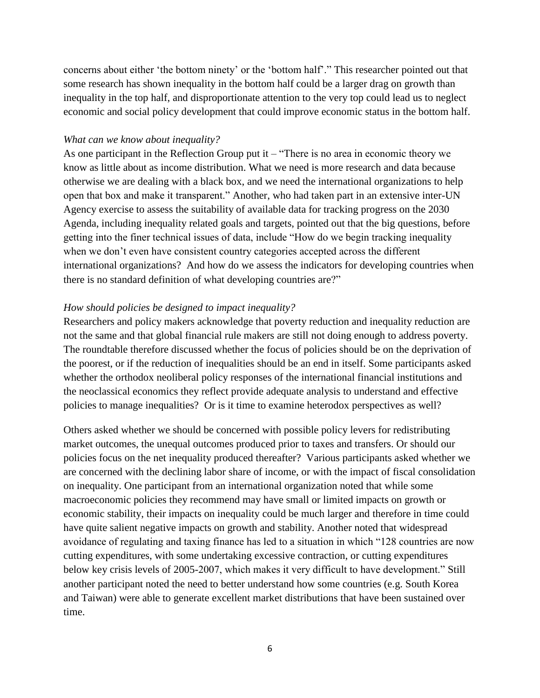concerns about either 'the bottom ninety' or the 'bottom half'." This researcher pointed out that some research has shown inequality in the bottom half could be a larger drag on growth than inequality in the top half, and disproportionate attention to the very top could lead us to neglect economic and social policy development that could improve economic status in the bottom half.

#### *What can we know about inequality?*

As one participant in the Reflection Group put it – "There is no area in economic theory we know as little about as income distribution. What we need is more research and data because otherwise we are dealing with a black box, and we need the international organizations to help open that box and make it transparent." Another, who had taken part in an extensive inter-UN Agency exercise to assess the suitability of available data for tracking progress on the 2030 Agenda, including inequality related goals and targets, pointed out that the big questions, before getting into the finer technical issues of data, include "How do we begin tracking inequality when we don't even have consistent country categories accepted across the different international organizations? And how do we assess the indicators for developing countries when there is no standard definition of what developing countries are?"

#### *How should policies be designed to impact inequality?*

Researchers and policy makers acknowledge that poverty reduction and inequality reduction are not the same and that global financial rule makers are still not doing enough to address poverty. The roundtable therefore discussed whether the focus of policies should be on the deprivation of the poorest, or if the reduction of inequalities should be an end in itself. Some participants asked whether the orthodox neoliberal policy responses of the international financial institutions and the neoclassical economics they reflect provide adequate analysis to understand and effective policies to manage inequalities? Or is it time to examine heterodox perspectives as well?

Others asked whether we should be concerned with possible policy levers for redistributing market outcomes, the unequal outcomes produced prior to taxes and transfers. Or should our policies focus on the net inequality produced thereafter? Various participants asked whether we are concerned with the declining labor share of income, or with the impact of fiscal consolidation on inequality. One participant from an international organization noted that while some macroeconomic policies they recommend may have small or limited impacts on growth or economic stability, their impacts on inequality could be much larger and therefore in time could have quite salient negative impacts on growth and stability. Another noted that widespread avoidance of regulating and taxing finance has led to a situation in which "128 countries are now cutting expenditures, with some undertaking excessive contraction, or cutting expenditures below key crisis levels of 2005-2007, which makes it very difficult to have development." Still another participant noted the need to better understand how some countries (e.g. South Korea and Taiwan) were able to generate excellent market distributions that have been sustained over time.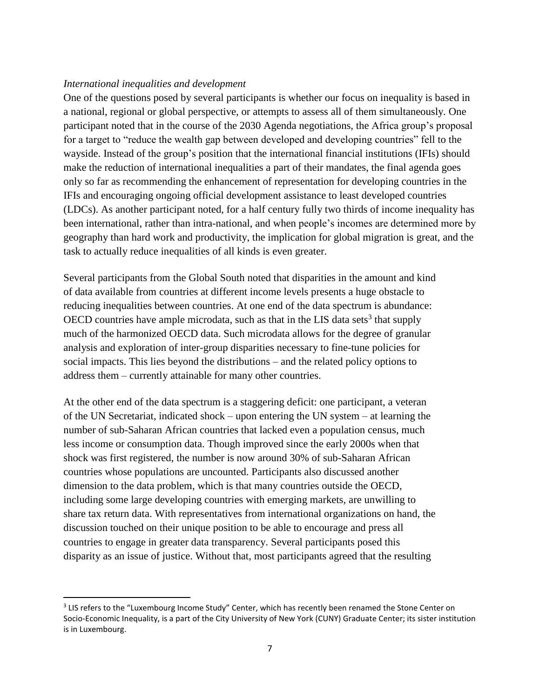### *International inequalities and development*

 $\overline{\phantom{a}}$ 

One of the questions posed by several participants is whether our focus on inequality is based in a national, regional or global perspective, or attempts to assess all of them simultaneously. One participant noted that in the course of the 2030 Agenda negotiations, the Africa group's proposal for a target to "reduce the wealth gap between developed and developing countries" fell to the wayside. Instead of the group's position that the international financial institutions (IFIs) should make the reduction of international inequalities a part of their mandates, the final agenda goes only so far as recommending the enhancement of representation for developing countries in the IFIs and encouraging ongoing official development assistance to least developed countries (LDCs). As another participant noted, for a half century fully two thirds of income inequality has been international, rather than intra-national, and when people's incomes are determined more by geography than hard work and productivity, the implication for global migration is great, and the task to actually reduce inequalities of all kinds is even greater.

Several participants from the Global South noted that disparities in the amount and kind of data available from countries at different income levels presents a huge obstacle to reducing inequalities between countries. At one end of the data spectrum is abundance:  $\overline{OECD}$  countries have ample microdata, such as that in the LIS data sets<sup>3</sup> that supply much of the harmonized OECD data. Such microdata allows for the degree of granular analysis and exploration of inter-group disparities necessary to fine-tune policies for social impacts. This lies beyond the distributions – and the related policy options to address them – currently attainable for many other countries.

At the other end of the data spectrum is a staggering deficit: one participant, a veteran of the UN Secretariat, indicated shock – upon entering the UN system – at learning the number of sub-Saharan African countries that lacked even a population census, much less income or consumption data. Though improved since the early 2000s when that shock was first registered, the number is now around 30% of sub-Saharan African countries whose populations are uncounted. Participants also discussed another dimension to the data problem, which is that many countries outside the OECD, including some large developing countries with emerging markets, are unwilling to share tax return data. With representatives from international organizations on hand, the discussion touched on their unique position to be able to encourage and press all countries to engage in greater data transparency. Several participants posed this disparity as an issue of justice. Without that, most participants agreed that the resulting

<sup>&</sup>lt;sup>3</sup> LIS refers to the "Luxembourg Income Study" Center, which has recently been renamed the Stone Center on Socio-Economic Inequality, is a part of the City University of New York (CUNY) Graduate Center; its sister institution is in Luxembourg.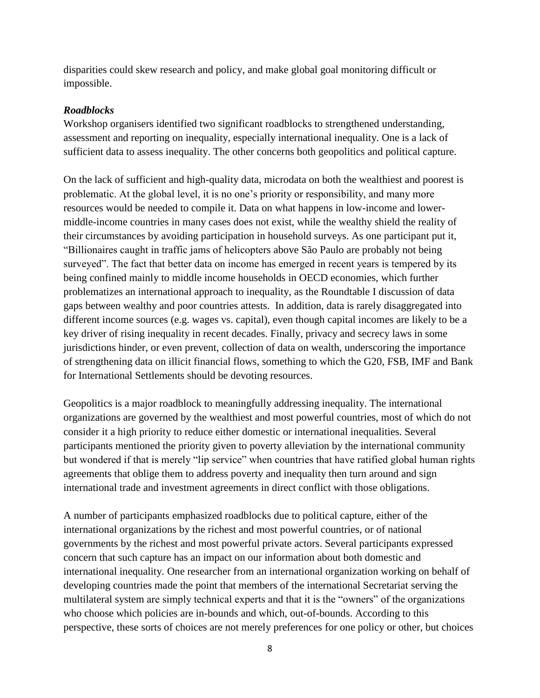disparities could skew research and policy, and make global goal monitoring difficult or impossible.

# *Roadblocks*

Workshop organisers identified two significant roadblocks to strengthened understanding, assessment and reporting on inequality, especially international inequality. One is a lack of sufficient data to assess inequality. The other concerns both geopolitics and political capture.

On the lack of sufficient and high-quality data, microdata on both the wealthiest and poorest is problematic. At the global level, it is no one's priority or responsibility, and many more resources would be needed to compile it. Data on what happens in low-income and lowermiddle-income countries in many cases does not exist, while the wealthy shield the reality of their circumstances by avoiding participation in household surveys. As one participant put it, "Billionaires caught in traffic jams of helicopters above São Paulo are probably not being surveyed". The fact that better data on income has emerged in recent years is tempered by its being confined mainly to middle income households in OECD economies, which further problematizes an international approach to inequality, as the Roundtable I discussion of data gaps between wealthy and poor countries attests. In addition, data is rarely disaggregated into different income sources (e.g. wages vs. capital), even though capital incomes are likely to be a key driver of rising inequality in recent decades. Finally, privacy and secrecy laws in some jurisdictions hinder, or even prevent, collection of data on wealth, underscoring the importance of strengthening data on illicit financial flows, something to which the G20, FSB, IMF and Bank for International Settlements should be devoting resources.

Geopolitics is a major roadblock to meaningfully addressing inequality. The international organizations are governed by the wealthiest and most powerful countries, most of which do not consider it a high priority to reduce either domestic or international inequalities. Several participants mentioned the priority given to poverty alleviation by the international community but wondered if that is merely "lip service" when countries that have ratified global human rights agreements that oblige them to address poverty and inequality then turn around and sign international trade and investment agreements in direct conflict with those obligations.

A number of participants emphasized roadblocks due to political capture, either of the international organizations by the richest and most powerful countries, or of national governments by the richest and most powerful private actors. Several participants expressed concern that such capture has an impact on our information about both domestic and international inequality. One researcher from an international organization working on behalf of developing countries made the point that members of the international Secretariat serving the multilateral system are simply technical experts and that it is the "owners" of the organizations who choose which policies are in-bounds and which, out-of-bounds. According to this perspective, these sorts of choices are not merely preferences for one policy or other, but choices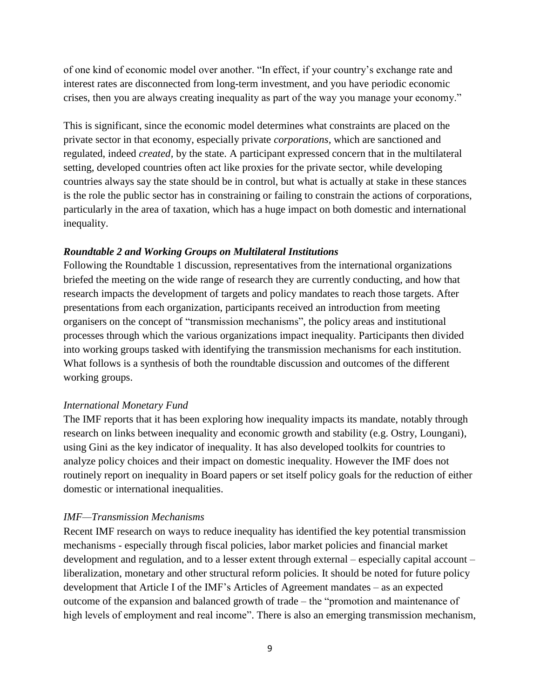of one kind of economic model over another. "In effect, if your country's exchange rate and interest rates are disconnected from long-term investment, and you have periodic economic crises, then you are always creating inequality as part of the way you manage your economy."

This is significant, since the economic model determines what constraints are placed on the private sector in that economy, especially private *corporations*, which are sanctioned and regulated, indeed *created,* by the state. A participant expressed concern that in the multilateral setting, developed countries often act like proxies for the private sector, while developing countries always say the state should be in control, but what is actually at stake in these stances is the role the public sector has in constraining or failing to constrain the actions of corporations, particularly in the area of taxation, which has a huge impact on both domestic and international inequality.

### *Roundtable 2 and Working Groups on Multilateral Institutions*

Following the Roundtable 1 discussion, representatives from the international organizations briefed the meeting on the wide range of research they are currently conducting, and how that research impacts the development of targets and policy mandates to reach those targets. After presentations from each organization, participants received an introduction from meeting organisers on the concept of "transmission mechanisms", the policy areas and institutional processes through which the various organizations impact inequality. Participants then divided into working groups tasked with identifying the transmission mechanisms for each institution. What follows is a synthesis of both the roundtable discussion and outcomes of the different working groups.

### *International Monetary Fund*

The IMF reports that it has been exploring how inequality impacts its mandate, notably through research on links between inequality and economic growth and stability (e.g. Ostry, Loungani), using Gini as the key indicator of inequality. It has also developed toolkits for countries to analyze policy choices and their impact on domestic inequality. However the IMF does not routinely report on inequality in Board papers or set itself policy goals for the reduction of either domestic or international inequalities.

### *IMF—Transmission Mechanisms*

Recent IMF research on ways to reduce inequality has identified the key potential transmission mechanisms - especially through fiscal policies, labor market policies and financial market development and regulation, and to a lesser extent through external – especially capital account – liberalization, monetary and other structural reform policies. It should be noted for future policy development that Article I of the IMF's Articles of Agreement mandates – as an expected outcome of the expansion and balanced growth of trade – the "promotion and maintenance of high levels of employment and real income". There is also an emerging transmission mechanism,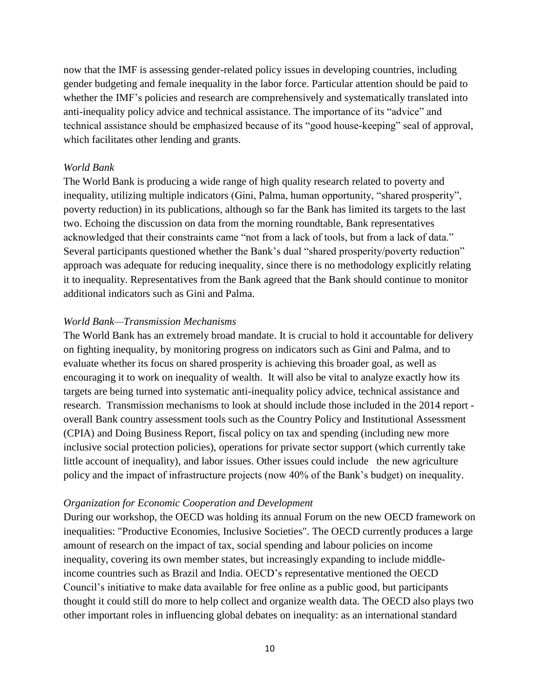now that the IMF is assessing gender-related policy issues in developing countries, including gender budgeting and female inequality in the labor force. Particular attention should be paid to whether the IMF's policies and research are comprehensively and systematically translated into anti-inequality policy advice and technical assistance. The importance of its "advice" and technical assistance should be emphasized because of its "good house-keeping" seal of approval, which facilitates other lending and grants.

#### *World Bank*

The World Bank is producing a wide range of high quality research related to poverty and inequality, utilizing multiple indicators (Gini, Palma, human opportunity, "shared prosperity", poverty reduction) in its publications, although so far the Bank has limited its targets to the last two. Echoing the discussion on data from the morning roundtable, Bank representatives acknowledged that their constraints came "not from a lack of tools, but from a lack of data." Several participants questioned whether the Bank's dual "shared prosperity/poverty reduction" approach was adequate for reducing inequality, since there is no methodology explicitly relating it to inequality. Representatives from the Bank agreed that the Bank should continue to monitor additional indicators such as Gini and Palma.

#### *World Bank—Transmission Mechanisms*

The World Bank has an extremely broad mandate. It is crucial to hold it accountable for delivery on fighting inequality, by monitoring progress on indicators such as Gini and Palma, and to evaluate whether its focus on shared prosperity is achieving this broader goal, as well as encouraging it to work on inequality of wealth. It will also be vital to analyze exactly how its targets are being turned into systematic anti-inequality policy advice, technical assistance and research. Transmission mechanisms to look at should include those included in the 2014 report overall Bank country assessment tools such as the Country Policy and Institutional Assessment (CPIA) and Doing Business Report, fiscal policy on tax and spending (including new more inclusive social protection policies), operations for private sector support (which currently take little account of inequality), and labor issues. Other issues could include the new agriculture policy and the impact of infrastructure projects (now 40% of the Bank's budget) on inequality.

#### *Organization for Economic Cooperation and Development*

During our workshop, the OECD was holding its annual Forum on the new OECD framework on inequalities: "Productive Economies, Inclusive Societies". The OECD currently produces a large amount of research on the impact of tax, social spending and labour policies on income inequality, covering its own member states, but increasingly expanding to include middleincome countries such as Brazil and India. OECD's representative mentioned the OECD Council's initiative to make data available for free online as a public good, but participants thought it could still do more to help collect and organize wealth data. The OECD also plays two other important roles in influencing global debates on inequality: as an international standard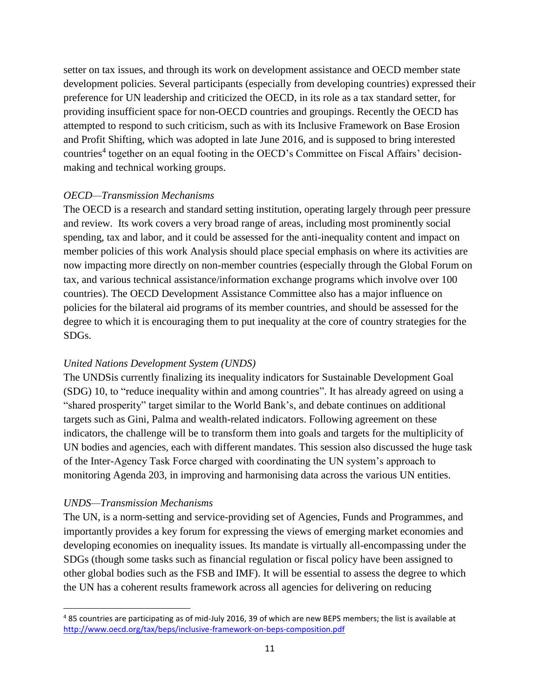setter on tax issues, and through its work on development assistance and OECD member state development policies. Several participants (especially from developing countries) expressed their preference for UN leadership and criticized the OECD, in its role as a tax standard setter, for providing insufficient space for non-OECD countries and groupings. Recently the OECD has attempted to respond to such criticism, such as with its Inclusive Framework on Base Erosion and Profit Shifting, which was adopted in late June 2016, and is supposed to bring interested countries<sup>4</sup> together on an equal footing in the OECD's Committee on Fiscal Affairs' decisionmaking and technical working groups.

# *OECD—Transmission Mechanisms*

The OECD is a research and standard setting institution, operating largely through peer pressure and review. Its work covers a very broad range of areas, including most prominently social spending, tax and labor, and it could be assessed for the anti-inequality content and impact on member policies of this work Analysis should place special emphasis on where its activities are now impacting more directly on non-member countries (especially through the Global Forum on tax, and various technical assistance/information exchange programs which involve over 100 countries). The OECD Development Assistance Committee also has a major influence on policies for the bilateral aid programs of its member countries, and should be assessed for the degree to which it is encouraging them to put inequality at the core of country strategies for the SDGs.

# *United Nations Development System (UNDS)*

The UNDSis currently finalizing its inequality indicators for Sustainable Development Goal (SDG) 10, to "reduce inequality within and among countries". It has already agreed on using a "shared prosperity" target similar to the World Bank's, and debate continues on additional targets such as Gini, Palma and wealth-related indicators. Following agreement on these indicators, the challenge will be to transform them into goals and targets for the multiplicity of UN bodies and agencies, each with different mandates. This session also discussed the huge task of the Inter-Agency Task Force charged with coordinating the UN system's approach to monitoring Agenda 203, in improving and harmonising data across the various UN entities.

# *UNDS—Transmission Mechanisms*

l

The UN, is a norm-setting and service-providing set of Agencies, Funds and Programmes, and importantly provides a key forum for expressing the views of emerging market economies and developing economies on inequality issues. Its mandate is virtually all-encompassing under the SDGs (though some tasks such as financial regulation or fiscal policy have been assigned to other global bodies such as the FSB and IMF). It will be essential to assess the degree to which the UN has a coherent results framework across all agencies for delivering on reducing

<sup>4</sup> 85 countries are participating as of mid-July 2016, 39 of which are new BEPS members; the list is available at <http://www.oecd.org/tax/beps/inclusive-framework-on-beps-composition.pdf>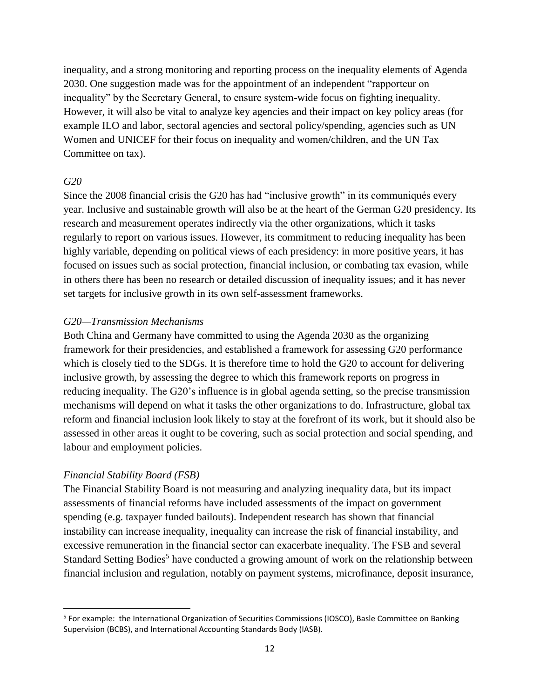inequality, and a strong monitoring and reporting process on the inequality elements of Agenda 2030. One suggestion made was for the appointment of an independent "rapporteur on inequality" by the Secretary General, to ensure system-wide focus on fighting inequality. However, it will also be vital to analyze key agencies and their impact on key policy areas (for example ILO and labor, sectoral agencies and sectoral policy/spending, agencies such as UN Women and UNICEF for their focus on inequality and women/children, and the UN Tax Committee on tax).

### *G20*

l

Since the 2008 financial crisis the G20 has had "inclusive growth" in its communiqués every year. Inclusive and sustainable growth will also be at the heart of the German G20 presidency. Its research and measurement operates indirectly via the other organizations, which it tasks regularly to report on various issues. However, its commitment to reducing inequality has been highly variable, depending on political views of each presidency: in more positive years, it has focused on issues such as social protection, financial inclusion, or combating tax evasion, while in others there has been no research or detailed discussion of inequality issues; and it has never set targets for inclusive growth in its own self-assessment frameworks.

### *G20—Transmission Mechanisms*

Both China and Germany have committed to using the Agenda 2030 as the organizing framework for their presidencies, and established a framework for assessing G20 performance which is closely tied to the SDGs. It is therefore time to hold the G20 to account for delivering inclusive growth, by assessing the degree to which this framework reports on progress in reducing inequality. The G20's influence is in global agenda setting, so the precise transmission mechanisms will depend on what it tasks the other organizations to do. Infrastructure, global tax reform and financial inclusion look likely to stay at the forefront of its work, but it should also be assessed in other areas it ought to be covering, such as social protection and social spending, and labour and employment policies.

# *Financial Stability Board (FSB)*

The Financial Stability Board is not measuring and analyzing inequality data, but its impact assessments of financial reforms have included assessments of the impact on government spending (e.g. taxpayer funded bailouts). Independent research has shown that financial instability can increase inequality, inequality can increase the risk of financial instability, and excessive remuneration in the financial sector can exacerbate inequality. The FSB and several Standard Setting Bodies<sup>5</sup> have conducted a growing amount of work on the relationship between financial inclusion and regulation, notably on payment systems, microfinance, deposit insurance,

<sup>&</sup>lt;sup>5</sup> For example: the International Organization of Securities Commissions (IOSCO), Basle Committee on Banking Supervision (BCBS), and International Accounting Standards Body (IASB).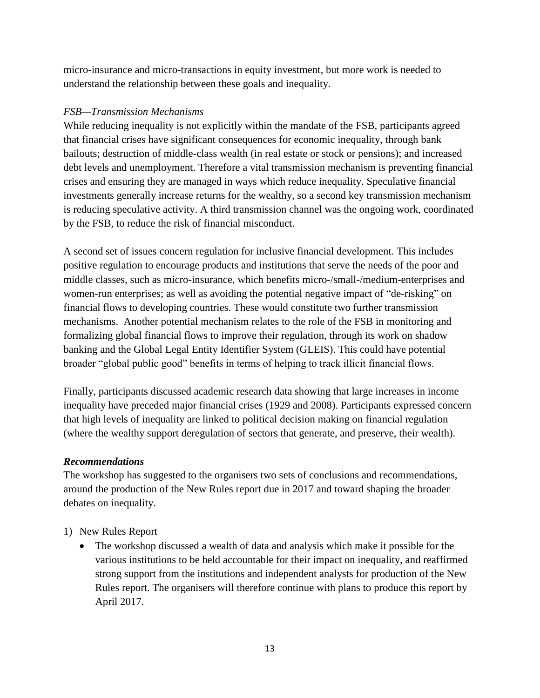micro-insurance and micro-transactions in equity investment, but more work is needed to understand the relationship between these goals and inequality.

### *FSB—Transmission Mechanisms*

While reducing inequality is not explicitly within the mandate of the FSB, participants agreed that financial crises have significant consequences for economic inequality, through bank bailouts; destruction of middle-class wealth (in real estate or stock or pensions); and increased debt levels and unemployment. Therefore a vital transmission mechanism is preventing financial crises and ensuring they are managed in ways which reduce inequality. Speculative financial investments generally increase returns for the wealthy, so a second key transmission mechanism is reducing speculative activity. A third transmission channel was the ongoing work, coordinated by the FSB, to reduce the risk of financial misconduct.

A second set of issues concern regulation for inclusive financial development. This includes positive regulation to encourage products and institutions that serve the needs of the poor and middle classes, such as micro-insurance, which benefits micro-/small-/medium-enterprises and women-run enterprises; as well as avoiding the potential negative impact of "de-risking" on financial flows to developing countries. These would constitute two further transmission mechanisms. Another potential mechanism relates to the role of the FSB in monitoring and formalizing global financial flows to improve their regulation, through its work on shadow banking and the Global Legal Entity Identifier System (GLEIS). This could have potential broader "global public good" benefits in terms of helping to track illicit financial flows.

Finally, participants discussed academic research data showing that large increases in income inequality have preceded major financial crises (1929 and 2008). Participants expressed concern that high levels of inequality are linked to political decision making on financial regulation (where the wealthy support deregulation of sectors that generate, and preserve, their wealth).

# *Recommendations*

The workshop has suggested to the organisers two sets of conclusions and recommendations, around the production of the New Rules report due in 2017 and toward shaping the broader debates on inequality.

# 1) New Rules Report

 The workshop discussed a wealth of data and analysis which make it possible for the various institutions to be held accountable for their impact on inequality, and reaffirmed strong support from the institutions and independent analysts for production of the New Rules report. The organisers will therefore continue with plans to produce this report by April 2017.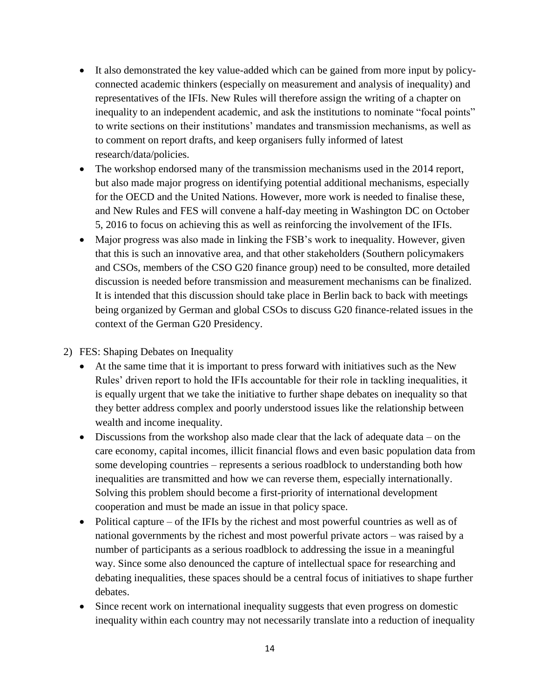- It also demonstrated the key value-added which can be gained from more input by policyconnected academic thinkers (especially on measurement and analysis of inequality) and representatives of the IFIs. New Rules will therefore assign the writing of a chapter on inequality to an independent academic, and ask the institutions to nominate "focal points" to write sections on their institutions' mandates and transmission mechanisms, as well as to comment on report drafts, and keep organisers fully informed of latest research/data/policies.
- The workshop endorsed many of the transmission mechanisms used in the 2014 report, but also made major progress on identifying potential additional mechanisms, especially for the OECD and the United Nations. However, more work is needed to finalise these, and New Rules and FES will convene a half-day meeting in Washington DC on October 5, 2016 to focus on achieving this as well as reinforcing the involvement of the IFIs.
- Major progress was also made in linking the FSB's work to inequality. However, given that this is such an innovative area, and that other stakeholders (Southern policymakers and CSOs, members of the CSO G20 finance group) need to be consulted, more detailed discussion is needed before transmission and measurement mechanisms can be finalized. It is intended that this discussion should take place in Berlin back to back with meetings being organized by German and global CSOs to discuss G20 finance-related issues in the context of the German G20 Presidency.

### 2) FES: Shaping Debates on Inequality

- At the same time that it is important to press forward with initiatives such as the New Rules' driven report to hold the IFIs accountable for their role in tackling inequalities, it is equally urgent that we take the initiative to further shape debates on inequality so that they better address complex and poorly understood issues like the relationship between wealth and income inequality.
- Discussions from the workshop also made clear that the lack of adequate data on the care economy, capital incomes, illicit financial flows and even basic population data from some developing countries – represents a serious roadblock to understanding both how inequalities are transmitted and how we can reverse them, especially internationally. Solving this problem should become a first-priority of international development cooperation and must be made an issue in that policy space.
- Political capture of the IFIs by the richest and most powerful countries as well as of national governments by the richest and most powerful private actors – was raised by a number of participants as a serious roadblock to addressing the issue in a meaningful way. Since some also denounced the capture of intellectual space for researching and debating inequalities, these spaces should be a central focus of initiatives to shape further debates.
- Since recent work on international inequality suggests that even progress on domestic inequality within each country may not necessarily translate into a reduction of inequality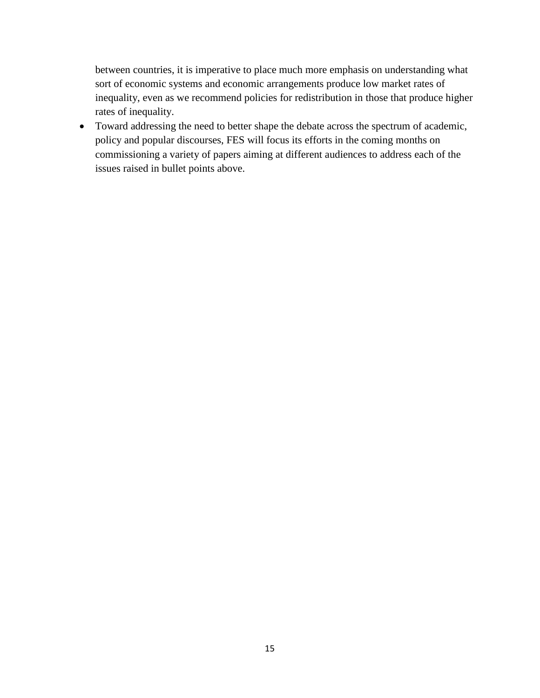between countries, it is imperative to place much more emphasis on understanding what sort of economic systems and economic arrangements produce low market rates of inequality, even as we recommend policies for redistribution in those that produce higher rates of inequality.

• Toward addressing the need to better shape the debate across the spectrum of academic, policy and popular discourses, FES will focus its efforts in the coming months on commissioning a variety of papers aiming at different audiences to address each of the issues raised in bullet points above.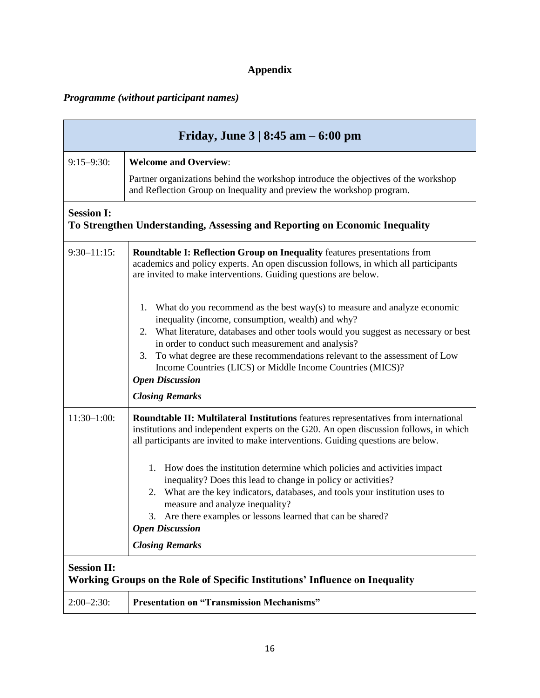# **Appendix**

# *Programme (without participant names)*

| Friday, June $3   8:45$ am $- 6:00$ pm                                                             |                                                                                                                                                                                                                                                                                                                                                                                                                                                                 |  |
|----------------------------------------------------------------------------------------------------|-----------------------------------------------------------------------------------------------------------------------------------------------------------------------------------------------------------------------------------------------------------------------------------------------------------------------------------------------------------------------------------------------------------------------------------------------------------------|--|
| $9:15 - 9:30$ :                                                                                    | <b>Welcome and Overview:</b>                                                                                                                                                                                                                                                                                                                                                                                                                                    |  |
|                                                                                                    | Partner organizations behind the workshop introduce the objectives of the workshop<br>and Reflection Group on Inequality and preview the workshop program.                                                                                                                                                                                                                                                                                                      |  |
| <b>Session I:</b><br>To Strengthen Understanding, Assessing and Reporting on Economic Inequality   |                                                                                                                                                                                                                                                                                                                                                                                                                                                                 |  |
| $9:30 - 11:15$ :                                                                                   | <b>Roundtable I: Reflection Group on Inequality features presentations from</b><br>academics and policy experts. An open discussion follows, in which all participants<br>are invited to make interventions. Guiding questions are below.                                                                                                                                                                                                                       |  |
|                                                                                                    | What do you recommend as the best $way(s)$ to measure and analyze economic<br>1.<br>inequality (income, consumption, wealth) and why?<br>2. What literature, databases and other tools would you suggest as necessary or best<br>in order to conduct such measurement and analysis?<br>To what degree are these recommendations relevant to the assessment of Low<br>3.<br>Income Countries (LICS) or Middle Income Countries (MICS)?<br><b>Open Discussion</b> |  |
|                                                                                                    | <b>Closing Remarks</b>                                                                                                                                                                                                                                                                                                                                                                                                                                          |  |
| $11:30-1:00$ :                                                                                     | <b>Roundtable II: Multilateral Institutions</b> features representatives from international<br>institutions and independent experts on the G20. An open discussion follows, in which<br>all participants are invited to make interventions. Guiding questions are below.                                                                                                                                                                                        |  |
|                                                                                                    | 1. How does the institution determine which policies and activities impact<br>inequality? Does this lead to change in policy or activities?<br>What are the key indicators, databases, and tools your institution uses to<br>2.<br>measure and analyze inequality?<br>3. Are there examples or lessons learned that can be shared?<br><b>Open Discussion</b><br><b>Closing Remarks</b>                                                                          |  |
|                                                                                                    |                                                                                                                                                                                                                                                                                                                                                                                                                                                                 |  |
| <b>Session II:</b><br>Working Groups on the Role of Specific Institutions' Influence on Inequality |                                                                                                                                                                                                                                                                                                                                                                                                                                                                 |  |
| $2:00-2:30:$                                                                                       | <b>Presentation on "Transmission Mechanisms"</b>                                                                                                                                                                                                                                                                                                                                                                                                                |  |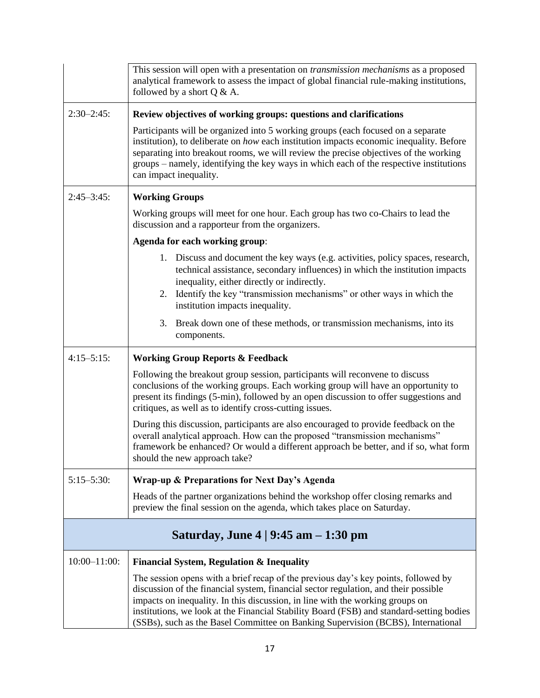|                                                           | This session will open with a presentation on <i>transmission mechanisms</i> as a proposed<br>analytical framework to assess the impact of global financial rule-making institutions,<br>followed by a short $Q & A$ .                                                                                                                                                                                                                     |
|-----------------------------------------------------------|--------------------------------------------------------------------------------------------------------------------------------------------------------------------------------------------------------------------------------------------------------------------------------------------------------------------------------------------------------------------------------------------------------------------------------------------|
| $2:30-2:45$ :                                             | Review objectives of working groups: questions and clarifications                                                                                                                                                                                                                                                                                                                                                                          |
|                                                           | Participants will be organized into 5 working groups (each focused on a separate<br>institution), to deliberate on how each institution impacts economic inequality. Before<br>separating into breakout rooms, we will review the precise objectives of the working<br>groups - namely, identifying the key ways in which each of the respective institutions<br>can impact inequality.                                                    |
| $2:45 - 3:45$ :                                           | <b>Working Groups</b>                                                                                                                                                                                                                                                                                                                                                                                                                      |
|                                                           | Working groups will meet for one hour. Each group has two co-Chairs to lead the<br>discussion and a rapporteur from the organizers.                                                                                                                                                                                                                                                                                                        |
|                                                           | Agenda for each working group:                                                                                                                                                                                                                                                                                                                                                                                                             |
|                                                           | 1. Discuss and document the key ways (e.g. activities, policy spaces, research,<br>technical assistance, secondary influences) in which the institution impacts<br>inequality, either directly or indirectly.<br>Identify the key "transmission mechanisms" or other ways in which the<br>2.<br>institution impacts inequality.                                                                                                            |
|                                                           | Break down one of these methods, or transmission mechanisms, into its<br>3.<br>components.                                                                                                                                                                                                                                                                                                                                                 |
| $4:15 - 5:15$ :                                           | <b>Working Group Reports &amp; Feedback</b>                                                                                                                                                                                                                                                                                                                                                                                                |
|                                                           | Following the breakout group session, participants will reconvene to discuss<br>conclusions of the working groups. Each working group will have an opportunity to<br>present its findings (5-min), followed by an open discussion to offer suggestions and<br>critiques, as well as to identify cross-cutting issues.                                                                                                                      |
|                                                           | During this discussion, participants are also encouraged to provide feedback on the<br>overall analytical approach. How can the proposed "transmission mechanisms"<br>framework be enhanced? Or would a different approach be better, and if so, what form<br>should the new approach take?                                                                                                                                                |
| $5:15 - 5:30$ :                                           | Wrap-up & Preparations for Next Day's Agenda                                                                                                                                                                                                                                                                                                                                                                                               |
|                                                           | Heads of the partner organizations behind the workshop offer closing remarks and<br>preview the final session on the agenda, which takes place on Saturday.                                                                                                                                                                                                                                                                                |
| Saturday, June $4 \mid 9:45 \text{ am} - 1:30 \text{ pm}$ |                                                                                                                                                                                                                                                                                                                                                                                                                                            |
| $10:00 - 11:00$ :                                         | <b>Financial System, Regulation &amp; Inequality</b>                                                                                                                                                                                                                                                                                                                                                                                       |
|                                                           | The session opens with a brief recap of the previous day's key points, followed by<br>discussion of the financial system, financial sector regulation, and their possible<br>impacts on inequality. In this discussion, in line with the working groups on<br>institutions, we look at the Financial Stability Board (FSB) and standard-setting bodies<br>(SSBs), such as the Basel Committee on Banking Supervision (BCBS), International |